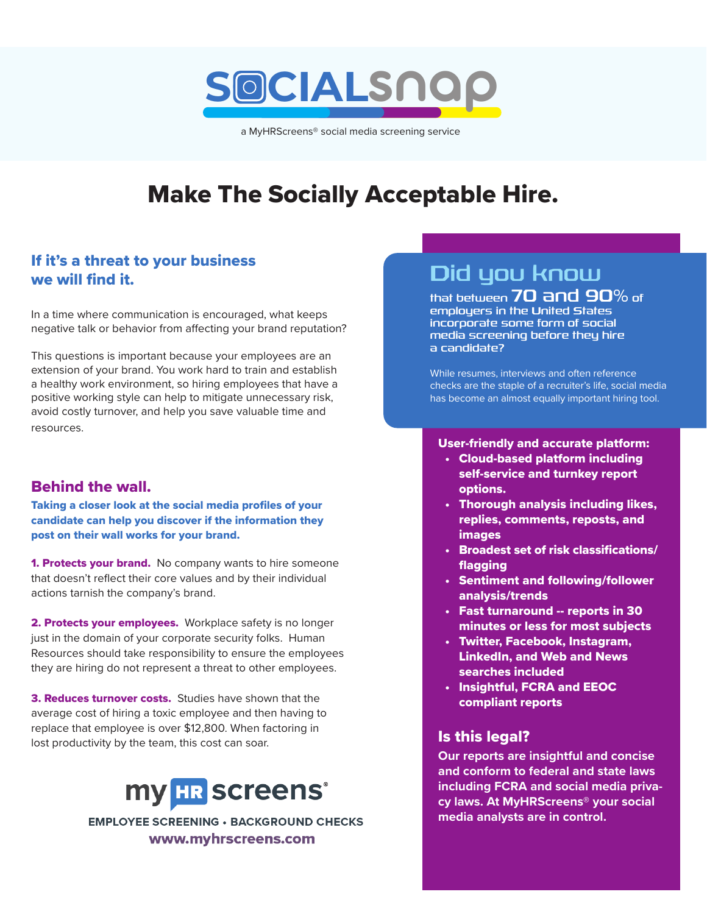# **SOCIAL**snap

a MyHRScreens® social media screening service

# Make The Socially Acceptable Hire.

# If it's a threat to your business we will find it.

In a time where communication is encouraged, what keeps negative talk or behavior from affecting your brand reputation?

This questions is important because your employees are an extension of your brand. You work hard to train and establish a healthy work environment, so hiring employees that have a positive working style can help to mitigate unnecessary risk, avoid costly turnover, and help you save valuable time and resources.

## Behind the wall.

Taking a closer look at the social media profiles of your candidate can help you discover if the information they post on their wall works for your brand.

**1. Protects your brand.** No company wants to hire someone that doesn't reflect their core values and by their individual actions tarnish the company's brand.

2. Protects your employees. Workplace safety is no longer just in the domain of your corporate security folks. Human Resources should take responsibility to ensure the employees they are hiring do not represent a threat to other employees.

3. Reduces turnover costs. Studies have shown that the average cost of hiring a toxic employee and then having to replace that employee is over \$12,800. When factoring in lost productivity by the team, this cost can soar.



**EMPLOYEE SCREENING · BACKGROUND CHECKS** www.myhrscreens.com

# Did you know

that between 70 and 90% of employers in the United States incorporate some form of social media screening before they hire a candidate?

While resumes, interviews and often reference checks are the staple of a recruiter's life, social media has become an almost equally important hiring tool.

#### User-friendly and accurate platform:

- Cloud-based platform including self-service and turnkey report options.
- Thorough analysis including likes, replies, comments, reposts, and images
- Broadest set of risk classifications/ flagging
- Sentiment and following/follower analysis/trends
- Fast turnaround -- reports in 30 minutes or less for most subjects
- Twitter, Facebook, Instagram, LinkedIn, and Web and News searches included
- Insightful, FCRA and EEOC compliant reports

## Is this legal?

**Our reports are insightful and concise and conform to federal and state laws including FCRA and social media privacy laws. At MyHRScreens® your social media analysts are in control.**